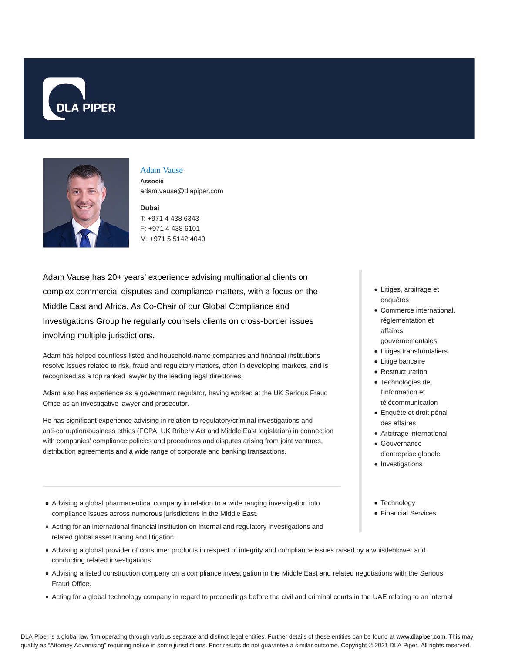



# Adam Vause

**Associé** adam.vause@dlapiper.com

## **Dubai** T: +971 4 438 6343 F: +971 4 438 6101 M: +971 5 5142 4040

Adam Vause has 20+ years' experience advising multinational clients on complex commercial disputes and compliance matters, with a focus on the Middle East and Africa. As Co-Chair of our Global Compliance and Investigations Group he regularly counsels clients on cross-border issues involving multiple jurisdictions.

Adam has helped countless listed and household-name companies and financial institutions resolve issues related to risk, fraud and regulatory matters, often in developing markets, and is recognised as a top ranked lawyer by the leading legal directories.

Adam also has experience as a government regulator, having worked at the UK Serious Fraud Office as an investigative lawyer and prosecutor.

He has significant experience advising in relation to regulatory/criminal investigations and anti-corruption/business ethics (FCPA, UK Bribery Act and Middle East legislation) in connection with companies' compliance policies and procedures and disputes arising from joint ventures, distribution agreements and a wide range of corporate and banking transactions.

- Advising a global pharmaceutical company in relation to a wide ranging investigation into compliance issues across numerous jurisdictions in the Middle East.
- Acting for an international financial institution on internal and regulatory investigations and related global asset tracing and litigation.
- Advising a global provider of consumer products in respect of integrity and compliance issues raised by a whistleblower and conducting related investigations.
- Advising a listed construction company on a compliance investigation in the Middle East and related negotiations with the Serious Fraud Office.
- Acting for a global technology company in regard to proceedings before the civil and criminal courts in the UAE relating to an internal
- Litiges, arbitrage et enquêtes
- Commerce international, réglementation et affaires gouvernementales
- Litiges transfrontaliers
- Litige bancaire
- Restructuration
- Technologies de l'information et télécommunication
- Enquête et droit pénal des affaires
- Arbitrage international Gouvernance
- d'entreprise globale
- Investigations
- Technology
- Financial Services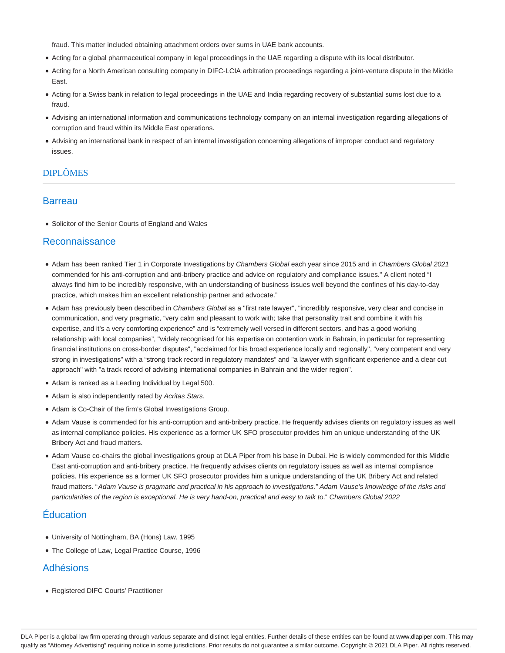fraud. This matter included obtaining attachment orders over sums in UAE bank accounts.

- Acting for a global pharmaceutical company in legal proceedings in the UAE regarding a dispute with its local distributor.
- Acting for a North American consulting company in DIFC-LCIA arbitration proceedings regarding a joint-venture dispute in the Middle East.
- Acting for a Swiss bank in relation to legal proceedings in the UAE and India regarding recovery of substantial sums lost due to a fraud.
- Advising an international information and communications technology company on an internal investigation regarding allegations of corruption and fraud within its Middle East operations.
- Advising an international bank in respect of an internal investigation concerning allegations of improper conduct and regulatory issues.

## DIPLÔMES

### **Barreau**

• Solicitor of the Senior Courts of England and Wales

#### Reconnaissance

- Adam has been ranked Tier 1 in Corporate Investigations by Chambers Global each year since 2015 and in Chambers Global 2021 commended for his anti-corruption and anti-bribery practice and advice on regulatory and compliance issues." A client noted "I always find him to be incredibly responsive, with an understanding of business issues well beyond the confines of his day-to-day practice, which makes him an excellent relationship partner and advocate."
- Adam has previously been described in Chambers Global as a "first rate lawyer", "incredibly responsive, very clear and concise in communication, and very pragmatic, "very calm and pleasant to work with; take that personality trait and combine it with his expertise, and it's a very comforting experience" and is "extremely well versed in different sectors, and has a good working relationship with local companies", "widely recognised for his expertise on contention work in Bahrain, in particular for representing financial institutions on cross-border disputes", "acclaimed for his broad experience locally and regionally", "very competent and very strong in investigations" with a "strong track record in regulatory mandates" and "a lawyer with significant experience and a clear cut approach" with "a track record of advising international companies in Bahrain and the wider region".
- Adam is ranked as a Leading Individual by Legal 500.
- Adam is also independently rated by Acritas Stars.
- Adam is Co-Chair of the firm's Global Investigations Group.
- Adam Vause is commended for his anti-corruption and anti-bribery practice. He frequently advises clients on regulatory issues as well as internal compliance policies. His experience as a former UK SFO prosecutor provides him an unique understanding of the UK Bribery Act and fraud matters.
- Adam Vause co-chairs the global investigations group at DLA Piper from his base in Dubai. He is widely commended for this Middle East anti-corruption and anti-bribery practice. He frequently advises clients on regulatory issues as well as internal compliance policies. His experience as a former UK SFO prosecutor provides him a unique understanding of the UK Bribery Act and related fraud matters. "Adam Vause is pragmatic and practical in his approach to investigations." Adam Vause's knowledge of the risks and particularities of the region is exceptional. He is very hand-on, practical and easy to talk to." Chambers Global 2022

## Éducation

- University of Nottingham, BA (Hons) Law, 1995
- The College of Law, Legal Practice Course, 1996

## Adhésions

Registered DIFC Courts' Practitioner